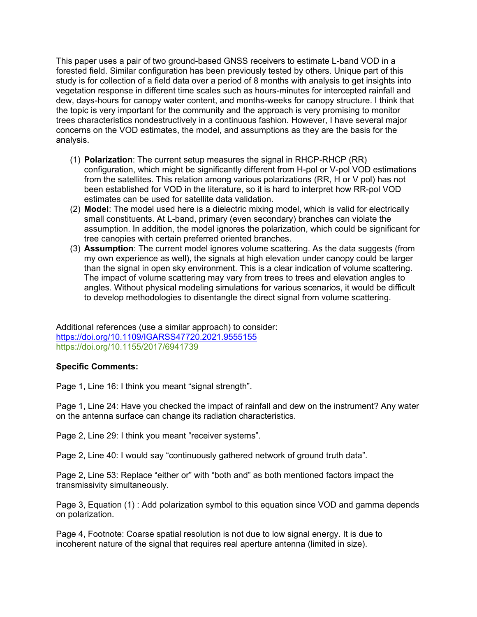This paper uses a pair of two ground-based GNSS receivers to estimate L-band VOD in a forested field. Similar configuration has been previously tested by others. Unique part of this study is for collection of a field data over a period of 8 months with analysis to get insights into vegetation response in different time scales such as hours-minutes for intercepted rainfall and dew, days-hours for canopy water content, and months-weeks for canopy structure. I think that the topic is very important for the community and the approach is very promising to monitor trees characteristics nondestructively in a continuous fashion. However, I have several major concerns on the VOD estimates, the model, and assumptions as they are the basis for the analysis.

- (1) **Polarization**: The current setup measures the signal in RHCP-RHCP (RR) configuration, which might be significantly different from H-pol or V-pol VOD estimations from the satellites. This relation among various polarizations (RR, H or V pol) has not been established for VOD in the literature, so it is hard to interpret how RR-pol VOD estimates can be used for satellite data validation.
- (2) **Model**: The model used here is a dielectric mixing model, which is valid for electrically small constituents. At L-band, primary (even secondary) branches can violate the assumption. In addition, the model ignores the polarization, which could be significant for tree canopies with certain preferred oriented branches.
- (3) **Assumption**: The current model ignores volume scattering. As the data suggests (from my own experience as well), the signals at high elevation under canopy could be larger than the signal in open sky environment. This is a clear indication of volume scattering. The impact of volume scattering may vary from trees to trees and elevation angles to angles. Without physical modeling simulations for various scenarios, it would be difficult to develop methodologies to disentangle the direct signal from volume scattering.

Additional references (use a similar approach) to consider: <https://doi.org/10.1109/IGARSS47720.2021.9555155> <https://doi.org/10.1155/2017/6941739>

## **Specific Comments:**

Page 1, Line 16: I think you meant "signal strength".

Page 1, Line 24: Have you checked the impact of rainfall and dew on the instrument? Any water on the antenna surface can change its radiation characteristics.

Page 2, Line 29: I think you meant "receiver systems".

Page 2, Line 40: I would say "continuously gathered network of ground truth data".

Page 2, Line 53: Replace "either or" with "both and" as both mentioned factors impact the transmissivity simultaneously.

Page 3, Equation (1) : Add polarization symbol to this equation since VOD and gamma depends on polarization.

Page 4, Footnote: Coarse spatial resolution is not due to low signal energy. It is due to incoherent nature of the signal that requires real aperture antenna (limited in size).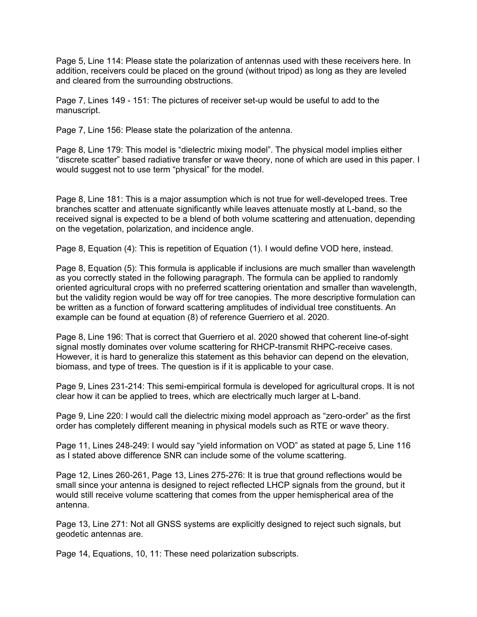Page 5, Line 114: Please state the polarization of antennas used with these receivers here. In addition, receivers could be placed on the ground (without tripod) as long as they are leveled and cleared from the surrounding obstructions.

Page 7, Lines 149 - 151: The pictures of receiver set-up would be useful to add to the manuscript.

Page 7, Line 156: Please state the polarization of the antenna.

Page 8, Line 179: This model is "dielectric mixing model". The physical model implies either "discrete scatter" based radiative transfer or wave theory, none of which are used in this paper. I would suggest not to use term "physical" for the model.

Page 8, Line 181: This is a major assumption which is not true for well-developed trees. Tree branches scatter and attenuate significantly while leaves attenuate mostly at L-band, so the received signal is expected to be a blend of both volume scattering and attenuation, depending on the vegetation, polarization, and incidence angle.

Page 8, Equation (4): This is repetition of Equation (1). I would define VOD here, instead.

Page 8, Equation (5): This formula is applicable if inclusions are much smaller than wavelength as you correctly stated in the following paragraph. The formula can be applied to randomly oriented agricultural crops with no preferred scattering orientation and smaller than wavelength, but the validity region would be way off for tree canopies. The more descriptive formulation can be written as a function of forward scattering amplitudes of individual tree constituents. An example can be found at equation (8) of reference Guerriero et al. 2020.

Page 8, Line 196: That is correct that Guerriero et al. 2020 showed that coherent line-of-sight signal mostly dominates over volume scattering for RHCP-transmit RHPC-receive cases. However, it is hard to generalize this statement as this behavior can depend on the elevation, biomass, and type of trees. The question is if it is applicable to your case.

Page 9, Lines 231-214: This semi-empirical formula is developed for agricultural crops. It is not clear how it can be applied to trees, which are electrically much larger at L-band.

Page 9, Line 220: I would call the dielectric mixing model approach as "zero-order" as the first order has completely different meaning in physical models such as RTE or wave theory.

Page 11, Lines 248-249: I would say "yield information on VOD" as stated at page 5, Line 116 as I stated above difference SNR can include some of the volume scattering.

Page 12, Lines 260-261, Page 13, Lines 275-276: It is true that ground reflections would be small since your antenna is designed to reject reflected LHCP signals from the ground, but it would still receive volume scattering that comes from the upper hemispherical area of the antenna.

Page 13, Line 271: Not all GNSS systems are explicitly designed to reject such signals, but geodetic antennas are.

Page 14, Equations, 10, 11: These need polarization subscripts.